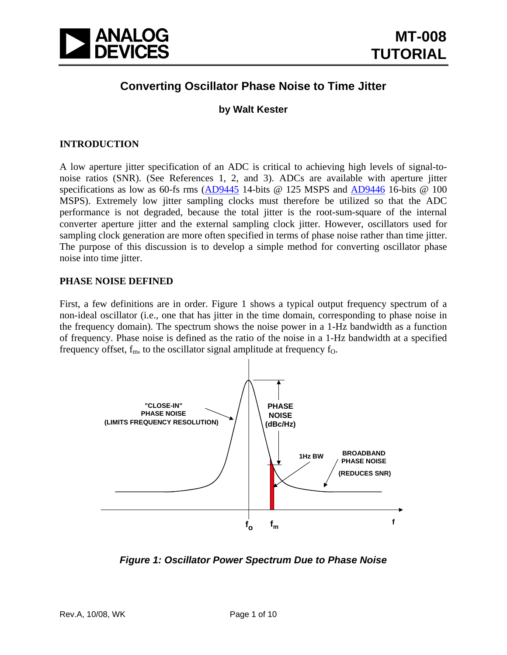

## **Converting Oscillator Phase Noise to Time Jitter**

### **by Walt Kester**

### **INTRODUCTION**

A low aperture jitter specification of an ADC is critical to achieving high levels of signal-tonoise ratios (SNR). (See References 1, 2, and 3). ADCs are available with aperture jitter specifications as low as 60-fs rms [\(AD9445](http://www.analog.com/en/analog-to-digital-converters/ad-converters/ad9445/products/product.html) 14-bits @ 125 MSPS and [AD9446](http://www.analog.com/en/analog-to-digital-converters/ad-converters/ad9446/products/product.html) 16-bits @ 100 MSPS). Extremely low jitter sampling clocks must therefore be utilized so that the ADC performance is not degraded, because the total jitter is the root-sum-square of the internal converter aperture jitter and the external sampling clock jitter. However, oscillators used for sampling clock generation are more often specified in terms of phase noise rather than time jitter. The purpose of this discussion is to develop a simple method for converting oscillator phase noise into time jitter.

#### **PHASE NOISE DEFINED**

First, a few definitions are in order. Figure 1 shows a typical output frequency spectrum of a non-ideal oscillator (i.e., one that has jitter in the time domain, corresponding to phase noise in the frequency domain). The spectrum shows the noise power in a 1-Hz bandwidth as a function of frequency. Phase noise is defined as the ratio of the noise in a 1-Hz bandwidth at a specified frequency offset,  $f_m$ , to the oscillator signal amplitude at frequency  $f_o$ .



*Figure 1: Oscillator Power Spectrum Due to Phase Noise*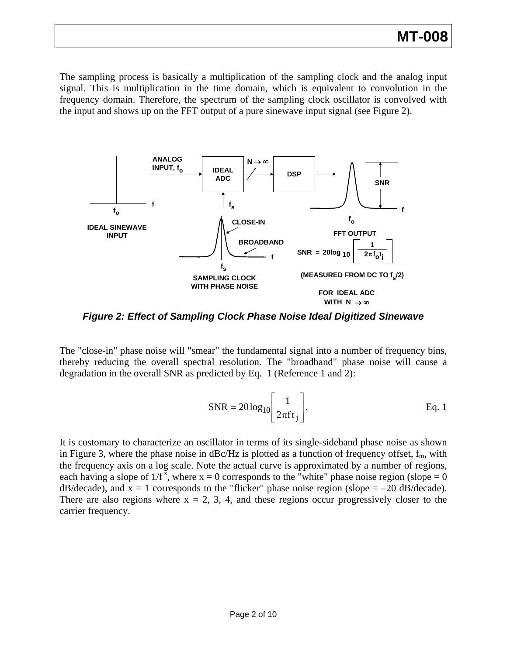# **MT-008**

The sampling process is basically a multiplication of the sampling clock and the analog input signal. This is multiplication in the time domain, which is equivalent to convolution in the frequency domain. Therefore, the spectrum of the sampling clock oscillator is convolved with the input and shows up on the FFT output of a pure sinewave input signal (see Figure 2).



*Figure 2: Effect of Sampling Clock Phase Noise Ideal Digitized Sinewave* 

The "close-in" phase noise will "smear" the fundamental signal into a number of frequency bins, thereby reducing the overall spectral resolution. The "broadband" phase noise will cause a degradation in the overall SNR as predicted by Eq. 1 (Reference 1 and 2):

$$
SNR = 20\log_{10}\left[\frac{1}{2\pi ft_j}\right].
$$
 Eq. 1

It is customary to characterize an oscillator in terms of its single-sideband phase noise as shown in Figure 3, where the phase noise in  $dBc/Hz$  is plotted as a function of frequency offset,  $f_m$ , with the frequency axis on a log scale. Note the actual curve is approximated by a number of regions, each having a slope of  $1/f^x$ , where  $x = 0$  corresponds to the "white" phase noise region (slope = 0  $dB/decade)$ , and  $x = 1$  corresponds to the "flicker" phase noise region (slope = -20 dB/decade). There are also regions where  $x = 2, 3, 4$ , and these regions occur progressively closer to the carrier frequency.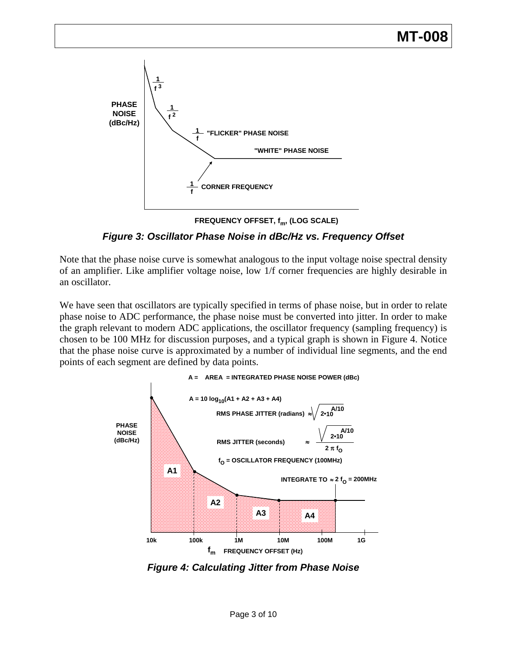

**FREQUENCY OFFSET, f<sub>m</sub>, (LOG SCALE)** 

*Figure 3: Oscillator Phase Noise in dBc/Hz vs. Frequency Offset*

Note that the phase noise curve is somewhat analogous to the input voltage noise spectral density of an amplifier. Like amplifier voltage noise, low 1/f corner frequencies are highly desirable in an oscillator.

We have seen that oscillators are typically specified in terms of phase noise, but in order to relate phase noise to ADC performance, the phase noise must be converted into jitter. In order to make the graph relevant to modern ADC applications, the oscillator frequency (sampling frequency) is chosen to be 100 MHz for discussion purposes, and a typical graph is shown in Figure 4. Notice that the phase noise curve is approximated by a number of individual line segments, and the end points of each segment are defined by data points.



*Figure 4: Calculating Jitter from Phase Noise*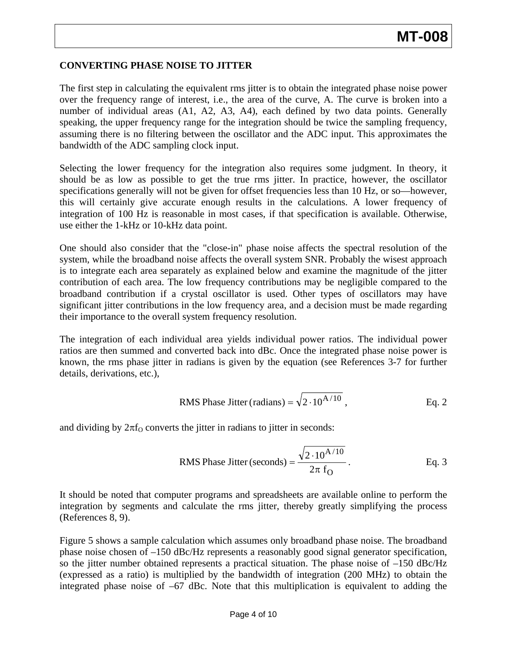### **CONVERTING PHASE NOISE TO JITTER**

The first step in calculating the equivalent rms jitter is to obtain the integrated phase noise power over the frequency range of interest, i.e., the area of the curve, A. The curve is broken into a number of individual areas (A1, A2, A3, A4), each defined by two data points. Generally speaking, the upper frequency range for the integration should be twice the sampling frequency, assuming there is no filtering between the oscillator and the ADC input. This approximates the bandwidth of the ADC sampling clock input.

Selecting the lower frequency for the integration also requires some judgment. In theory, it should be as low as possible to get the true rms jitter. In practice, however, the oscillator specifications generally will not be given for offset frequencies less than 10 Hz, or so—however, this will certainly give accurate enough results in the calculations. A lower frequency of integration of 100 Hz is reasonable in most cases, if that specification is available. Otherwise, use either the 1-kHz or 10-kHz data point.

One should also consider that the "close-in" phase noise affects the spectral resolution of the system, while the broadband noise affects the overall system SNR. Probably the wisest approach is to integrate each area separately as explained below and examine the magnitude of the jitter contribution of each area. The low frequency contributions may be negligible compared to the broadband contribution if a crystal oscillator is used. Other types of oscillators may have significant jitter contributions in the low frequency area, and a decision must be made regarding their importance to the overall system frequency resolution.

The integration of each individual area yields individual power ratios. The individual power ratios are then summed and converted back into dBc. Once the integrated phase noise power is known, the rms phase jitter in radians is given by the equation (see References 3-7 for further details, derivations, etc.),

RMS Phase Jitter (radians) = 
$$
\sqrt{2.10^{A/10}}
$$
, Eq. 2

and dividing by  $2\pi f_0$  converts the jitter in radians to jitter in seconds:

RMS Phase Jitter (seconds) = 
$$
\frac{\sqrt{2 \cdot 10^{A/10}}}{2\pi f_O}
$$
. Eq. 3

It should be noted that computer programs and spreadsheets are available online to perform the integration by segments and calculate the rms jitter, thereby greatly simplifying the process (References 8, 9).

Figure 5 shows a sample calculation which assumes only broadband phase noise. The broadband phase noise chosen of –150 dBc/Hz represents a reasonably good signal generator specification, so the jitter number obtained represents a practical situation. The phase noise of  $-150$  dBc/Hz (expressed as a ratio) is multiplied by the bandwidth of integration (200 MHz) to obtain the integrated phase noise of –67 dBc. Note that this multiplication is equivalent to adding the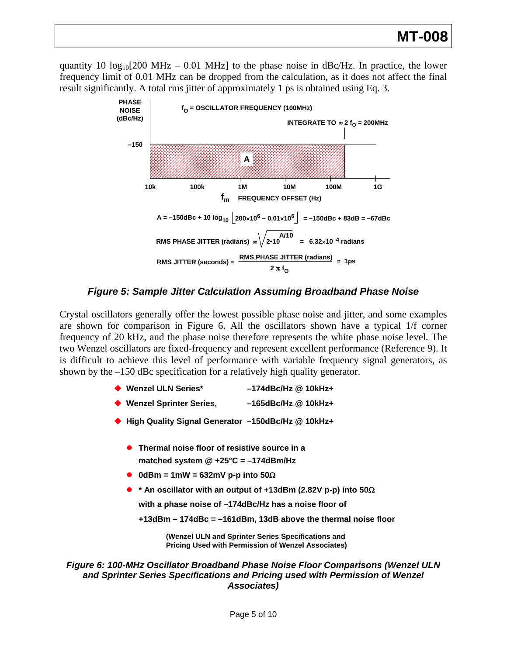quantity 10  $log_{10}[200 \text{ MHz} - 0.01 \text{ MHz}]$  to the phase noise in dBc/Hz. In practice, the lower frequency limit of 0.01 MHz can be dropped from the calculation, as it does not affect the final result significantly. A total rms jitter of approximately 1 ps is obtained using Eq. 3.



*Figure 5: Sample Jitter Calculation Assuming Broadband Phase Noise* 

Crystal oscillators generally offer the lowest possible phase noise and jitter, and some examples are shown for comparison in Figure 6. All the oscillators shown have a typical 1/f corner frequency of 20 kHz, and the phase noise therefore represents the white phase noise level. The two Wenzel oscillators are fixed-frequency and represent excellent performance (Reference 9). It is difficult to achieve this level of performance with variable frequency signal generators, as shown by the –150 dBc specification for a relatively high quality generator.

| ◆ Wenzel ULN Series* | $-174$ dBc/Hz @ 10kHz+ |
|----------------------|------------------------|
|                      |                        |

- **Wenzel Sprinter Series, –165dBc/Hz @ 10kHz+**
- **High Quality Signal Generator –150dBc/Hz @ 10kHz+** 
	- **Thermal noise floor of resistive source in a matched system @ +25°C = –174dBm/Hz**
	- z **0dBm = 1mW = 632mV p-p into 50**Ω
	- **\*** An oscillator with an output of +13dBm (2.82V p-p) into 50Ω

**with a phase noise of –174dBc/Hz has a noise floor of**

**+13dBm – 174dBc = –161dBm, 13dB above the thermal noise floor**

**(Wenzel ULN and Sprinter Series Specifications and Pricing Used with Permission of Wenzel Associates)**

*Figure 6: 100-MHz Oscillator Broadband Phase Noise Floor Comparisons (Wenzel ULN and Sprinter Series Specifications and Pricing used with Permission of Wenzel Associates)*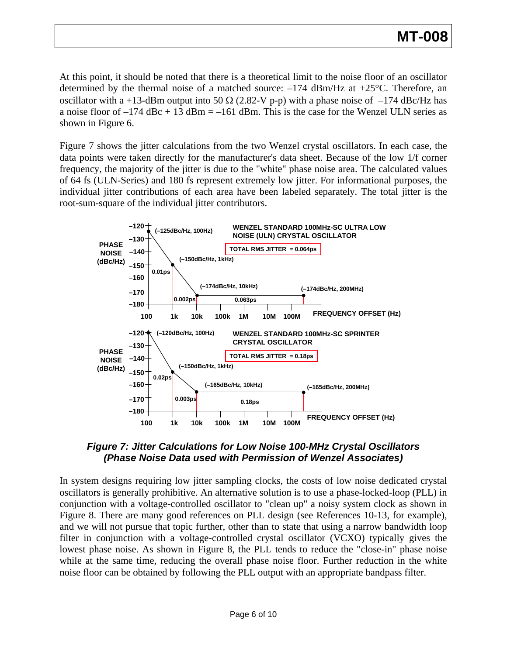At this point, it should be noted that there is a theoretical limit to the noise floor of an oscillator determined by the thermal noise of a matched source:  $-174$  dBm/Hz at  $+25^{\circ}$ C. Therefore, an oscillator with a +13-dBm output into 50  $\Omega$  (2.82-V p-p) with a phase noise of -174 dBc/Hz has a noise floor of  $-174$  dBc + 13 dBm =  $-161$  dBm. This is the case for the Wenzel ULN series as shown in Figure 6.

Figure 7 shows the jitter calculations from the two Wenzel crystal oscillators. In each case, the data points were taken directly for the manufacturer's data sheet. Because of the low 1/f corner frequency, the majority of the jitter is due to the "white" phase noise area. The calculated values of 64 fs (ULN-Series) and 180 fs represent extremely low jitter. For informational purposes, the individual jitter contributions of each area have been labeled separately. The total jitter is the root-sum-square of the individual jitter contributors.



### *Figure 7: Jitter Calculations for Low Noise 100-MHz Crystal Oscillators (Phase Noise Data used with Permission of Wenzel Associates)*

In system designs requiring low jitter sampling clocks, the costs of low noise dedicated crystal oscillators is generally prohibitive. An alternative solution is to use a phase-locked-loop (PLL) in conjunction with a voltage-controlled oscillator to "clean up" a noisy system clock as shown in Figure 8. There are many good references on PLL design (see References 10-13, for example), and we will not pursue that topic further, other than to state that using a narrow bandwidth loop filter in conjunction with a voltage-controlled crystal oscillator (VCXO) typically gives the lowest phase noise. As shown in Figure 8, the PLL tends to reduce the "close-in" phase noise while at the same time, reducing the overall phase noise floor. Further reduction in the white noise floor can be obtained by following the PLL output with an appropriate bandpass filter.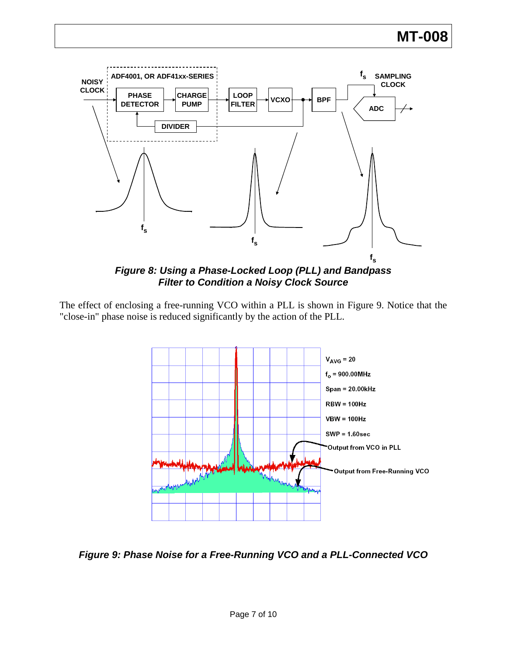

*Figure 8: Using a Phase-Locked Loop (PLL) and Bandpass Filter to Condition a Noisy Clock Source* 

The effect of enclosing a free-running VCO within a PLL is shown in Figure 9. Notice that the "close-in" phase noise is reduced significantly by the action of the PLL.



*Figure 9: Phase Noise for a Free-Running VCO and a PLL-Connected VCO*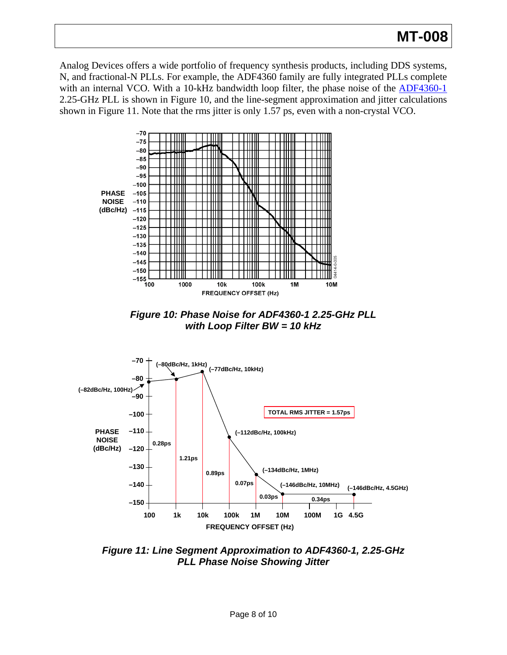# **MT-008**

Analog Devices offers a wide portfolio of frequency synthesis products, including DDS systems, N, and fractional-N PLLs. For example, the ADF4360 family are fully integrated PLLs complete with an internal VCO. With a 10-kHz bandwidth loop filter, the phase noise of the **[ADF4360-1](http://www.analog.com/en/rfif-components/pll-synthesizersvcos/adf4360-1/products/product.html)** 2.25-GHz PLL is shown in Figure 10, and the line-segment approximation and jitter calculations shown in Figure 11. Note that the rms jitter is only 1.57 ps, even with a non-crystal VCO.



*Figure 10: Phase Noise for ADF4360-1 2.25-GHz PLL with Loop Filter BW = 10 kHz* 



*Figure 11: Line Segment Approximation to ADF4360-1, 2.25-GHz PLL Phase Noise Showing Jitter*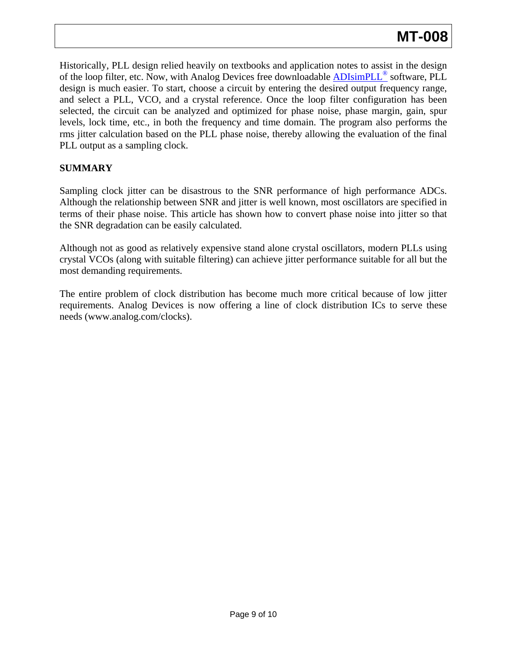Historically, PLL design relied heavily on textbooks and application notes to assist in the design of the loop filter, etc. Now, with Analog Devices free downloadable ADIsimPLL<sup>®</sup> software, PLL design is much easier. To start, choose a circuit by entering the desired output frequency range, and select a PLL, VCO, and a crystal reference. Once the loop filter configuration has been selected, the circuit can be analyzed and optimized for phase noise, phase margin, gain, spur levels, lock time, etc., in both the frequency and time domain. The program also performs the rms jitter calculation based on the PLL phase noise, thereby allowing the evaluation of the final PLL output as a sampling clock.

### **SUMMARY**

Sampling clock jitter can be disastrous to the SNR performance of high performance ADCs. Although the relationship between SNR and jitter is well known, most oscillators are specified in terms of their phase noise. This article has shown how to convert phase noise into jitter so that the SNR degradation can be easily calculated.

Although not as good as relatively expensive stand alone crystal oscillators, modern PLLs using crystal VCOs (along with suitable filtering) can achieve jitter performance suitable for all but the most demanding requirements.

The entire problem of clock distribution has become much more critical because of low jitter requirements. Analog Devices is now offering a line of clock distribution ICs to serve these needs (www.analog.com/clocks).